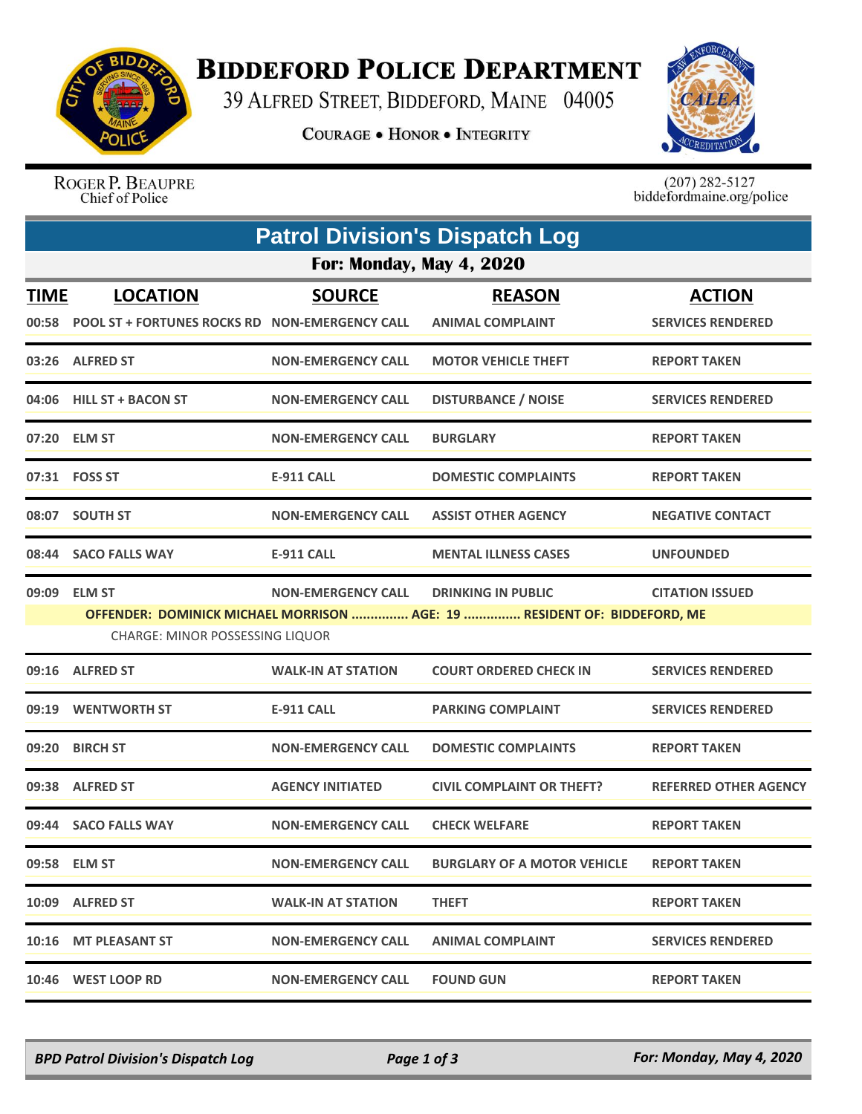

## **BIDDEFORD POLICE DEPARTMENT**

39 ALFRED STREET, BIDDEFORD, MAINE 04005

**COURAGE . HONOR . INTEGRITY** 



ROGER P. BEAUPRE Chief of Police

 $(207)$  282-5127<br>biddefordmaine.org/police

| <b>Patrol Division's Dispatch Log</b> |                                                                         |                           |                                                                          |                                           |  |  |  |
|---------------------------------------|-------------------------------------------------------------------------|---------------------------|--------------------------------------------------------------------------|-------------------------------------------|--|--|--|
| <b>For: Monday, May 4, 2020</b>       |                                                                         |                           |                                                                          |                                           |  |  |  |
| <b>TIME</b>                           | <b>LOCATION</b><br>00:58 POOL ST + FORTUNES ROCKS RD NON-EMERGENCY CALL | <b>SOURCE</b>             | <b>REASON</b><br><b>ANIMAL COMPLAINT</b>                                 | <b>ACTION</b><br><b>SERVICES RENDERED</b> |  |  |  |
|                                       | 03:26 ALFRED ST                                                         | <b>NON-EMERGENCY CALL</b> | <b>MOTOR VEHICLE THEFT</b>                                               | <b>REPORT TAKEN</b>                       |  |  |  |
|                                       | 04:06 HILL ST + BACON ST                                                | <b>NON-EMERGENCY CALL</b> | <b>DISTURBANCE / NOISE</b>                                               | <b>SERVICES RENDERED</b>                  |  |  |  |
|                                       | 07:20 ELM ST                                                            | <b>NON-EMERGENCY CALL</b> | <b>BURGLARY</b>                                                          | <b>REPORT TAKEN</b>                       |  |  |  |
|                                       | 07:31 FOSS ST                                                           | <b>E-911 CALL</b>         | <b>DOMESTIC COMPLAINTS</b>                                               | <b>REPORT TAKEN</b>                       |  |  |  |
|                                       | 08:07 SOUTH ST                                                          | <b>NON-EMERGENCY CALL</b> | <b>ASSIST OTHER AGENCY</b>                                               | <b>NEGATIVE CONTACT</b>                   |  |  |  |
|                                       | 08:44 SACO FALLS WAY                                                    | <b>E-911 CALL</b>         | <b>MENTAL ILLNESS CASES</b>                                              | <b>UNFOUNDED</b>                          |  |  |  |
|                                       | 09:09 ELM ST                                                            | <b>NON-EMERGENCY CALL</b> | <b>DRINKING IN PUBLIC</b>                                                | <b>CITATION ISSUED</b>                    |  |  |  |
|                                       |                                                                         |                           | OFFENDER: DOMINICK MICHAEL MORRISON  AGE: 19  RESIDENT OF: BIDDEFORD, ME |                                           |  |  |  |
|                                       | <b>CHARGE: MINOR POSSESSING LIQUOR</b>                                  |                           |                                                                          |                                           |  |  |  |
|                                       | 09:16 ALFRED ST                                                         | <b>WALK-IN AT STATION</b> | <b>COURT ORDERED CHECK IN</b>                                            | <b>SERVICES RENDERED</b>                  |  |  |  |
| 09:19                                 | <b>WENTWORTH ST</b>                                                     | <b>E-911 CALL</b>         | <b>PARKING COMPLAINT</b>                                                 | <b>SERVICES RENDERED</b>                  |  |  |  |
| 09:20                                 | <b>BIRCH ST</b>                                                         | <b>NON-EMERGENCY CALL</b> | <b>DOMESTIC COMPLAINTS</b>                                               | <b>REPORT TAKEN</b>                       |  |  |  |
|                                       | 09:38 ALFRED ST                                                         | <b>AGENCY INITIATED</b>   | <b>CIVIL COMPLAINT OR THEFT?</b>                                         | <b>REFERRED OTHER AGENCY</b>              |  |  |  |
|                                       | 09:44 SACO FALLS WAY                                                    | <b>NON-EMERGENCY CALL</b> | <b>CHECK WELFARE</b>                                                     | <b>REPORT TAKEN</b>                       |  |  |  |
|                                       | 09:58 ELM ST                                                            | <b>NON-EMERGENCY CALL</b> | <b>BURGLARY OF A MOTOR VEHICLE</b>                                       | <b>REPORT TAKEN</b>                       |  |  |  |
|                                       | 10:09 ALFRED ST                                                         | <b>WALK-IN AT STATION</b> | <b>THEFT</b>                                                             | <b>REPORT TAKEN</b>                       |  |  |  |
|                                       | 10:16 MT PLEASANT ST                                                    | <b>NON-EMERGENCY CALL</b> | <b>ANIMAL COMPLAINT</b>                                                  | <b>SERVICES RENDERED</b>                  |  |  |  |
|                                       | 10:46 WEST LOOP RD                                                      | <b>NON-EMERGENCY CALL</b> | <b>FOUND GUN</b>                                                         | <b>REPORT TAKEN</b>                       |  |  |  |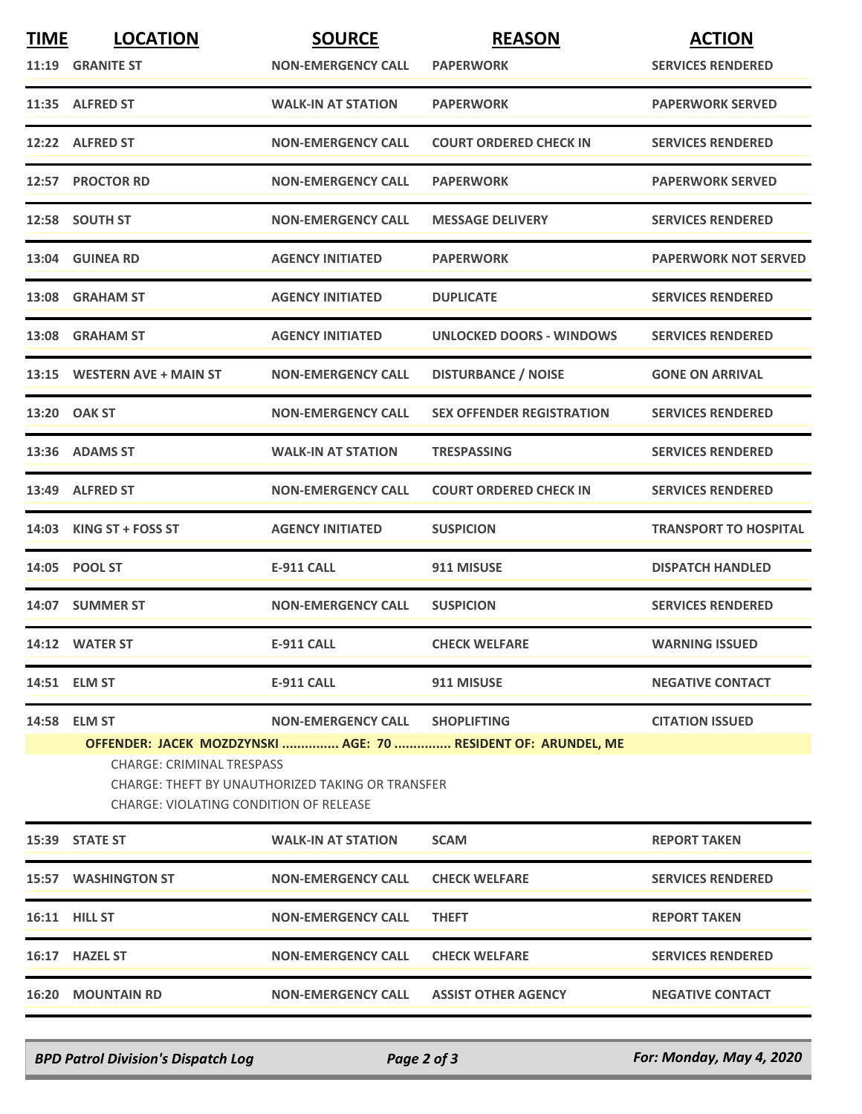| <b>TIME</b> | <b>LOCATION</b>                                                                                                                                                                                 | <b>SOURCE</b>                  | <b>REASON</b>                    | <b>ACTION</b>                |  |
|-------------|-------------------------------------------------------------------------------------------------------------------------------------------------------------------------------------------------|--------------------------------|----------------------------------|------------------------------|--|
|             | 11:19 GRANITE ST                                                                                                                                                                                | <b>NON-EMERGENCY CALL</b>      | <b>PAPERWORK</b>                 | <b>SERVICES RENDERED</b>     |  |
|             | 11:35 ALFRED ST                                                                                                                                                                                 | <b>WALK-IN AT STATION</b>      | <b>PAPERWORK</b>                 | <b>PAPERWORK SERVED</b>      |  |
|             | 12:22 ALFRED ST                                                                                                                                                                                 | <b>NON-EMERGENCY CALL</b>      | <b>COURT ORDERED CHECK IN</b>    | <b>SERVICES RENDERED</b>     |  |
|             | 12:57 PROCTOR RD                                                                                                                                                                                | <b>NON-EMERGENCY CALL</b>      | <b>PAPERWORK</b>                 | <b>PAPERWORK SERVED</b>      |  |
|             | 12:58 SOUTH ST                                                                                                                                                                                  | <b>NON-EMERGENCY CALL</b>      | <b>MESSAGE DELIVERY</b>          | <b>SERVICES RENDERED</b>     |  |
|             | 13:04 GUINEA RD                                                                                                                                                                                 | <b>AGENCY INITIATED</b>        | <b>PAPERWORK</b>                 | <b>PAPERWORK NOT SERVED</b>  |  |
| 13:08       | <b>GRAHAM ST</b>                                                                                                                                                                                | <b>AGENCY INITIATED</b>        | <b>DUPLICATE</b>                 | <b>SERVICES RENDERED</b>     |  |
|             | 13:08 GRAHAM ST                                                                                                                                                                                 | <b>AGENCY INITIATED</b>        | <b>UNLOCKED DOORS - WINDOWS</b>  | <b>SERVICES RENDERED</b>     |  |
|             | 13:15 WESTERN AVE + MAIN ST                                                                                                                                                                     | <b>NON-EMERGENCY CALL</b>      | <b>DISTURBANCE / NOISE</b>       | <b>GONE ON ARRIVAL</b>       |  |
|             | 13:20 OAK ST                                                                                                                                                                                    | <b>NON-EMERGENCY CALL</b>      | <b>SEX OFFENDER REGISTRATION</b> | <b>SERVICES RENDERED</b>     |  |
|             | 13:36 ADAMS ST                                                                                                                                                                                  | <b>WALK-IN AT STATION</b>      | <b>TRESPASSING</b>               | <b>SERVICES RENDERED</b>     |  |
|             | 13:49 ALFRED ST                                                                                                                                                                                 | <b>NON-EMERGENCY CALL</b>      | <b>COURT ORDERED CHECK IN</b>    | <b>SERVICES RENDERED</b>     |  |
| 14:03       | KING ST + FOSS ST                                                                                                                                                                               | <b>AGENCY INITIATED</b>        | <b>SUSPICION</b>                 | <b>TRANSPORT TO HOSPITAL</b> |  |
| 14:05       | <b>POOL ST</b>                                                                                                                                                                                  | <b>E-911 CALL</b>              | 911 MISUSE                       | <b>DISPATCH HANDLED</b>      |  |
|             | 14:07 SUMMER ST                                                                                                                                                                                 | <b>NON-EMERGENCY CALL</b>      | <b>SUSPICION</b>                 | <b>SERVICES RENDERED</b>     |  |
|             | 14:12 WATER ST                                                                                                                                                                                  | <b>E-911 CALL</b>              | <b>CHECK WELFARE</b>             | <b>WARNING ISSUED</b>        |  |
|             | 14:51 ELM ST                                                                                                                                                                                    | <b>E-911 CALL</b>              | 911 MISUSE                       | <b>NEGATIVE CONTACT</b>      |  |
|             | 14:58 ELM ST                                                                                                                                                                                    | NON-EMERGENCY CALL SHOPLIFTING |                                  | <b>CITATION ISSUED</b>       |  |
|             | OFFENDER: JACEK MOZDZYNSKI  AGE: 70  RESIDENT OF: ARUNDEL, ME<br><b>CHARGE: CRIMINAL TRESPASS</b><br>CHARGE: THEFT BY UNAUTHORIZED TAKING OR TRANSFER<br>CHARGE: VIOLATING CONDITION OF RELEASE |                                |                                  |                              |  |
|             | 15:39 STATE ST                                                                                                                                                                                  | <b>WALK-IN AT STATION</b>      | <b>SCAM</b>                      | <b>REPORT TAKEN</b>          |  |
|             | <b>15:57 WASHINGTON ST</b>                                                                                                                                                                      | <b>NON-EMERGENCY CALL</b>      | <b>CHECK WELFARE</b>             | <b>SERVICES RENDERED</b>     |  |
|             | 16:11 HILL ST                                                                                                                                                                                   | <b>NON-EMERGENCY CALL</b>      | <b>THEFT</b>                     | <b>REPORT TAKEN</b>          |  |
|             | 16:17 HAZEL ST                                                                                                                                                                                  | <b>NON-EMERGENCY CALL</b>      | <b>CHECK WELFARE</b>             | <b>SERVICES RENDERED</b>     |  |
|             | <b>16:20 MOUNTAIN RD</b>                                                                                                                                                                        | <b>NON-EMERGENCY CALL</b>      | <b>ASSIST OTHER AGENCY</b>       | <b>NEGATIVE CONTACT</b>      |  |
|             |                                                                                                                                                                                                 |                                |                                  |                              |  |

*BPD Patrol Division's Dispatch Log Page 2 of 3 For: Monday, May 4, 2020*